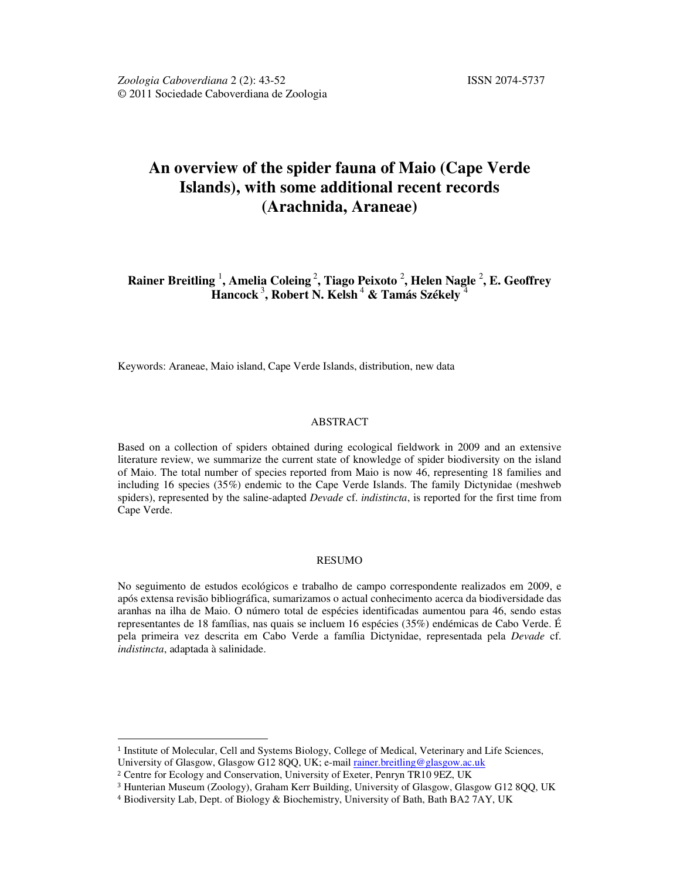# **An overview of the spider fauna of Maio (Cape Verde Islands), with some additional recent records (Arachnida, Araneae)**

**Rainer Breitling** <sup>1</sup> **, Amelia Coleing** <sup>2</sup> **, Tiago Peixoto** <sup>2</sup> **, Helen Nagle** <sup>2</sup> **, E. Geoffrey Hancock** <sup>3</sup> **, Robert N. Kelsh** <sup>4</sup>  **& Tamás Székely** <sup>4</sup>

Keywords: Araneae, Maio island, Cape Verde Islands, distribution, new data

## ABSTRACT

Based on a collection of spiders obtained during ecological fieldwork in 2009 and an extensive literature review, we summarize the current state of knowledge of spider biodiversity on the island of Maio. The total number of species reported from Maio is now 46, representing 18 families and including 16 species (35%) endemic to the Cape Verde Islands. The family Dictynidae (meshweb spiders), represented by the saline-adapted *Devade* cf. *indistincta*, is reported for the first time from Cape Verde.

#### RESUMO

No seguimento de estudos ecológicos e trabalho de campo correspondente realizados em 2009, e após extensa revisão bibliográfica, sumarizamos o actual conhecimento acerca da biodiversidade das aranhas na ilha de Maio. O número total de espécies identificadas aumentou para 46, sendo estas representantes de 18 famílias, nas quais se incluem 16 espécies (35%) endémicas de Cabo Verde. É pela primeira vez descrita em Cabo Verde a família Dictynidae, representada pela *Devade* cf. *indistincta*, adaptada à salinidade.

 $\overline{a}$ 

<sup>1</sup> Institute of Molecular, Cell and Systems Biology, College of Medical, Veterinary and Life Sciences, University of Glasgow, Glasgow G12 8QQ, UK; e-mail rainer.breitling@glasgow.ac.uk

<sup>2</sup> Centre for Ecology and Conservation, University of Exeter, Penryn TR10 9EZ, UK

<sup>3</sup> Hunterian Museum (Zoology), Graham Kerr Building, University of Glasgow, Glasgow G12 8QQ, UK

<sup>4</sup> Biodiversity Lab, Dept. of Biology & Biochemistry, University of Bath, Bath BA2 7AY, UK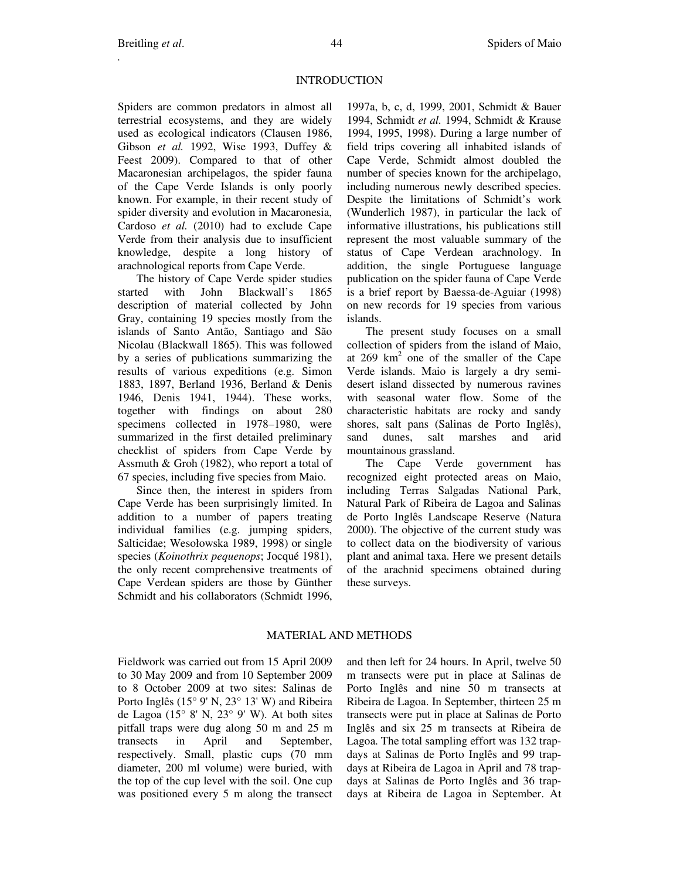# **INTRODUCTION**

Spiders are common predators in almost all terrestrial ecosystems, and they are widely used as ecological indicators (Clausen 1986, Gibson *et al.* 1992, Wise 1993, Duffey & Feest 2009). Compared to that of other Macaronesian archipelagos, the spider fauna of the Cape Verde Islands is only poorly known. For example, in their recent study of spider diversity and evolution in Macaronesia, Cardoso *et al.* (2010) had to exclude Cape Verde from their analysis due to insufficient knowledge, despite a long history of arachnological reports from Cape Verde.

The history of Cape Verde spider studies started with John Blackwall's 1865 description of material collected by John Gray, containing 19 species mostly from the islands of Santo Antão, Santiago and São Nicolau (Blackwall 1865). This was followed by a series of publications summarizing the results of various expeditions (e.g. Simon 1883, 1897, Berland 1936, Berland & Denis 1946, Denis 1941, 1944). These works, together with findings on about 280 specimens collected in 1978–1980, were summarized in the first detailed preliminary checklist of spiders from Cape Verde by Assmuth & Groh (1982), who report a total of 67 species, including five species from Maio.

Since then, the interest in spiders from Cape Verde has been surprisingly limited. In addition to a number of papers treating individual families (e.g. jumping spiders, Salticidae; Wesołowska 1989, 1998) or single species (*Koinothrix pequenops*; Jocqué 1981), the only recent comprehensive treatments of Cape Verdean spiders are those by Günther Schmidt and his collaborators (Schmidt 1996, 1997a, b, c, d, 1999, 2001, Schmidt & Bauer 1994, Schmidt *et al.* 1994, Schmidt & Krause 1994, 1995, 1998). During a large number of field trips covering all inhabited islands of Cape Verde, Schmidt almost doubled the number of species known for the archipelago, including numerous newly described species. Despite the limitations of Schmidt's work (Wunderlich 1987), in particular the lack of informative illustrations, his publications still represent the most valuable summary of the status of Cape Verdean arachnology. In addition, the single Portuguese language publication on the spider fauna of Cape Verde is a brief report by Baessa-de-Aguiar (1998) on new records for 19 species from various islands.

The present study focuses on a small collection of spiders from the island of Maio, at  $269 \text{ km}^2$  one of the smaller of the Cape Verde islands. Maio is largely a dry semidesert island dissected by numerous ravines with seasonal water flow. Some of the characteristic habitats are rocky and sandy shores, salt pans (Salinas de Porto Inglês), sand dunes, salt marshes and arid mountainous grassland.

The Cape Verde government has recognized eight protected areas on Maio, including Terras Salgadas National Park, Natural Park of Ribeira de Lagoa and Salinas de Porto Inglês Landscape Reserve (Natura 2000). The objective of the current study was to collect data on the biodiversity of various plant and animal taxa. Here we present details of the arachnid specimens obtained during these surveys.

# MATERIAL AND METHODS

Fieldwork was carried out from 15 April 2009 to 30 May 2009 and from 10 September 2009 to 8 October 2009 at two sites: Salinas de Porto Inglês (15° 9' N, 23° 13' W) and Ribeira de Lagoa (15° 8' N, 23° 9' W). At both sites pitfall traps were dug along 50 m and 25 m transects in April and September, respectively. Small, plastic cups (70 mm diameter, 200 ml volume) were buried, with the top of the cup level with the soil. One cup was positioned every 5 m along the transect and then left for 24 hours. In April, twelve 50 m transects were put in place at Salinas de Porto Inglês and nine 50 m transects at Ribeira de Lagoa. In September, thirteen 25 m transects were put in place at Salinas de Porto Inglês and six 25 m transects at Ribeira de Lagoa. The total sampling effort was 132 trapdays at Salinas de Porto Inglês and 99 trapdays at Ribeira de Lagoa in April and 78 trapdays at Salinas de Porto Inglês and 36 trapdays at Ribeira de Lagoa in September. At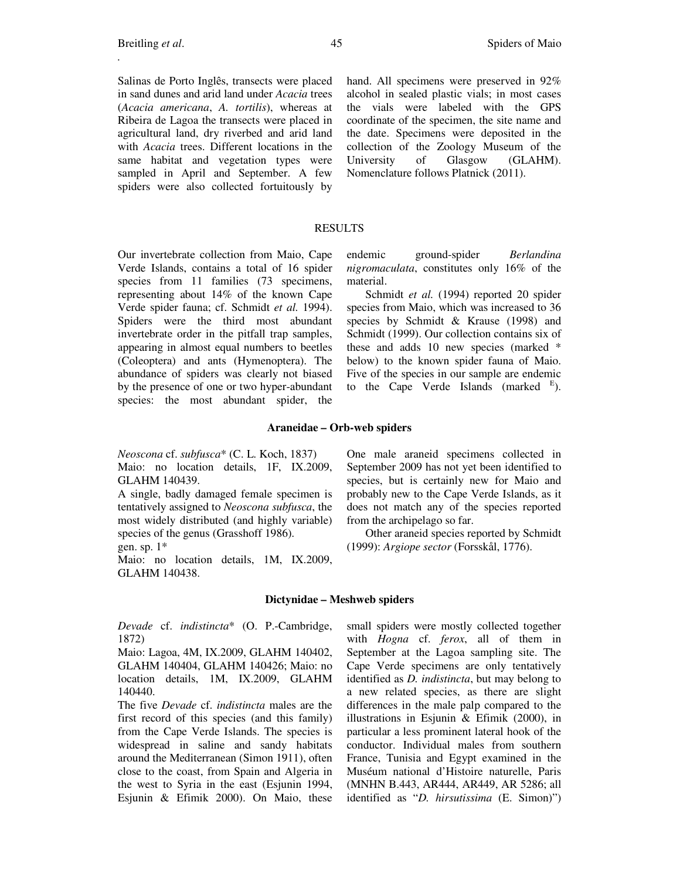Salinas de Porto Inglês, transects were placed in sand dunes and arid land under *Acacia* trees (*Acacia americana*, *A. tortilis*), whereas at Ribeira de Lagoa the transects were placed in agricultural land, dry riverbed and arid land with *Acacia* trees. Different locations in the same habitat and vegetation types were sampled in April and September. A few spiders were also collected fortuitously by

hand. All specimens were preserved in 92% alcohol in sealed plastic vials; in most cases the vials were labeled with the GPS coordinate of the specimen, the site name and the date. Specimens were deposited in the collection of the Zoology Museum of the University of Glasgow (GLAHM). Nomenclature follows Platnick (2011).

### RESULTS

Our invertebrate collection from Maio, Cape Verde Islands, contains a total of 16 spider species from 11 families (73 specimens, representing about 14% of the known Cape Verde spider fauna; cf. Schmidt *et al.* 1994). Spiders were the third most abundant invertebrate order in the pitfall trap samples, appearing in almost equal numbers to beetles (Coleoptera) and ants (Hymenoptera). The abundance of spiders was clearly not biased by the presence of one or two hyper-abundant species: the most abundant spider, the

endemic ground-spider *Berlandina nigromaculata*, constitutes only 16% of the material.

Schmidt *et al.* (1994) reported 20 spider species from Maio, which was increased to 36 species by Schmidt & Krause (1998) and Schmidt (1999). Our collection contains six of these and adds 10 new species (marked \* below) to the known spider fauna of Maio. Five of the species in our sample are endemic to the Cape Verde Islands (marked  $E$ ).

#### **Araneidae – Orb-web spiders**

*Neoscona* cf. *subfusca*\* (C. L. Koch, 1837) Maio: no location details, 1F, IX.2009, GLAHM 140439.

A single, badly damaged female specimen is tentatively assigned to *Neoscona subfusca*, the most widely distributed (and highly variable) species of the genus (Grasshoff 1986).

gen. sp.  $1^*$ 

Maio: no location details, 1M, IX.2009, GLAHM 140438.

One male araneid specimens collected in September 2009 has not yet been identified to species, but is certainly new for Maio and probably new to the Cape Verde Islands, as it does not match any of the species reported from the archipelago so far.

Other araneid species reported by Schmidt (1999): *Argiope sector* (Forsskål, 1776).

#### **Dictynidae – Meshweb spiders**

*Devade* cf. *indistincta*\* (O. P.-Cambridge, 1872)

Maio: Lagoa, 4M, IX.2009, GLAHM 140402, GLAHM 140404, GLAHM 140426; Maio: no location details, 1M, IX.2009, GLAHM 140440.

The five *Devade* cf. *indistincta* males are the first record of this species (and this family) from the Cape Verde Islands. The species is widespread in saline and sandy habitats around the Mediterranean (Simon 1911), often close to the coast, from Spain and Algeria in the west to Syria in the east (Esjunin 1994, Esjunin & Efimik 2000). On Maio, these small spiders were mostly collected together with *Hogna* cf. *ferox*, all of them in September at the Lagoa sampling site. The Cape Verde specimens are only tentatively identified as *D. indistincta*, but may belong to a new related species, as there are slight differences in the male palp compared to the illustrations in Esjunin & Efimik (2000), in particular a less prominent lateral hook of the conductor. Individual males from southern France, Tunisia and Egypt examined in the Muséum national d'Histoire naturelle, Paris (MNHN B.443, AR444, AR449, AR 5286; all identified as "*D. hirsutissima* (E. Simon)")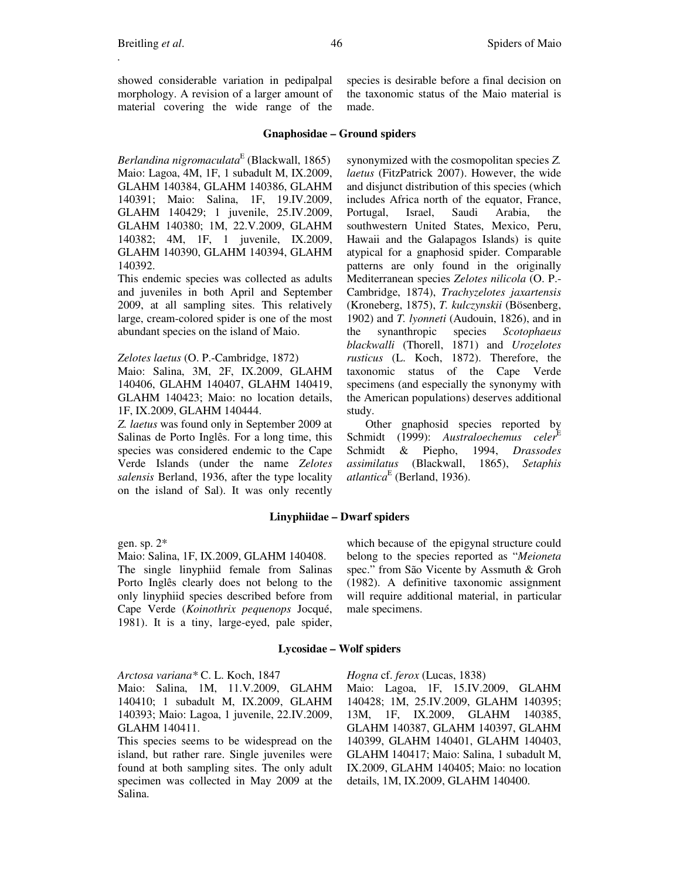showed considerable variation in pedipalpal morphology. A revision of a larger amount of material covering the wide range of the

species is desirable before a final decision on the taxonomic status of the Maio material is made.

# **Gnaphosidae – Ground spiders**

*Berlandina nigromaculata*<sup>E</sup> (Blackwall, 1865) Maio: Lagoa, 4M, 1F, 1 subadult M, IX.2009, GLAHM 140384, GLAHM 140386, GLAHM 140391; Maio: Salina, 1F, 19.IV.2009, GLAHM 140429; 1 juvenile, 25.IV.2009, GLAHM 140380; 1M, 22.V.2009, GLAHM 140382; 4M, 1F, 1 juvenile, IX.2009, GLAHM 140390, GLAHM 140394, GLAHM 140392.

This endemic species was collected as adults and juveniles in both April and September 2009, at all sampling sites. This relatively large, cream-colored spider is one of the most abundant species on the island of Maio.

# *Zelotes laetus* (O. P.-Cambridge, 1872)

Maio: Salina, 3M, 2F, IX.2009, GLAHM 140406, GLAHM 140407, GLAHM 140419, GLAHM 140423; Maio: no location details, 1F, IX.2009, GLAHM 140444.

*Z. laetus* was found only in September 2009 at Salinas de Porto Inglês. For a long time, this species was considered endemic to the Cape Verde Islands (under the name *Zelotes salensis* Berland, 1936, after the type locality on the island of Sal). It was only recently synonymized with the cosmopolitan species *Z. laetus* (FitzPatrick 2007). However, the wide and disjunct distribution of this species (which includes Africa north of the equator, France, Portugal, Israel, Saudi Arabia, the southwestern United States, Mexico, Peru, Hawaii and the Galapagos Islands) is quite atypical for a gnaphosid spider. Comparable patterns are only found in the originally Mediterranean species *Zelotes nilicola* (O. P.- Cambridge, 1874), *Trachyzelotes jaxartensis* (Kroneberg, 1875), *T. kulczynskii* (Bösenberg, 1902) and *T. lyonneti* (Audouin, 1826), and in the synanthropic species *Scotophaeus blackwalli* (Thorell, 1871) and *Urozelotes rusticus* (L. Koch, 1872). Therefore, the taxonomic status of the Cape Verde specimens (and especially the synonymy with the American populations) deserves additional study.

Other gnaphosid species reported by Schmidt (1999): *Australoechemus celer*<sup>E</sup> Schmidt & Piepho, 1994, *Drassodes assimilatus* (Blackwall, 1865), *Setaphis atlantica*<sup>E</sup> (Berland, 1936).

# **Linyphiidae – Dwarf spiders**

gen. sp. 2\*

# Maio: Salina, 1F, IX.2009, GLAHM 140408.

The single linyphiid female from Salinas Porto Inglês clearly does not belong to the only linyphiid species described before from Cape Verde (*Koinothrix pequenops* Jocqué, 1981). It is a tiny, large-eyed, pale spider, which because of the epigynal structure could belong to the species reported as "*Meioneta* spec." from São Vicente by Assmuth & Groh (1982). A definitive taxonomic assignment will require additional material, in particular male specimens.

# **Lycosidae – Wolf spiders**

*Arctosa variana\** C. L. Koch, 1847

Maio: Salina, 1M, 11.V.2009, GLAHM 140410; 1 subadult M, IX.2009, GLAHM 140393; Maio: Lagoa, 1 juvenile, 22.IV.2009, GLAHM 140411.

This species seems to be widespread on the island, but rather rare. Single juveniles were found at both sampling sites. The only adult specimen was collected in May 2009 at the Salina.

*Hogna* cf. *ferox* (Lucas, 1838)

Maio: Lagoa, 1F, 15.IV.2009, GLAHM 140428; 1M, 25.IV.2009, GLAHM 140395; 13M, 1F, IX.2009, GLAHM 140385, GLAHM 140387, GLAHM 140397, GLAHM 140399, GLAHM 140401, GLAHM 140403, GLAHM 140417; Maio: Salina, 1 subadult M, IX.2009, GLAHM 140405; Maio: no location details, 1M, IX.2009, GLAHM 140400.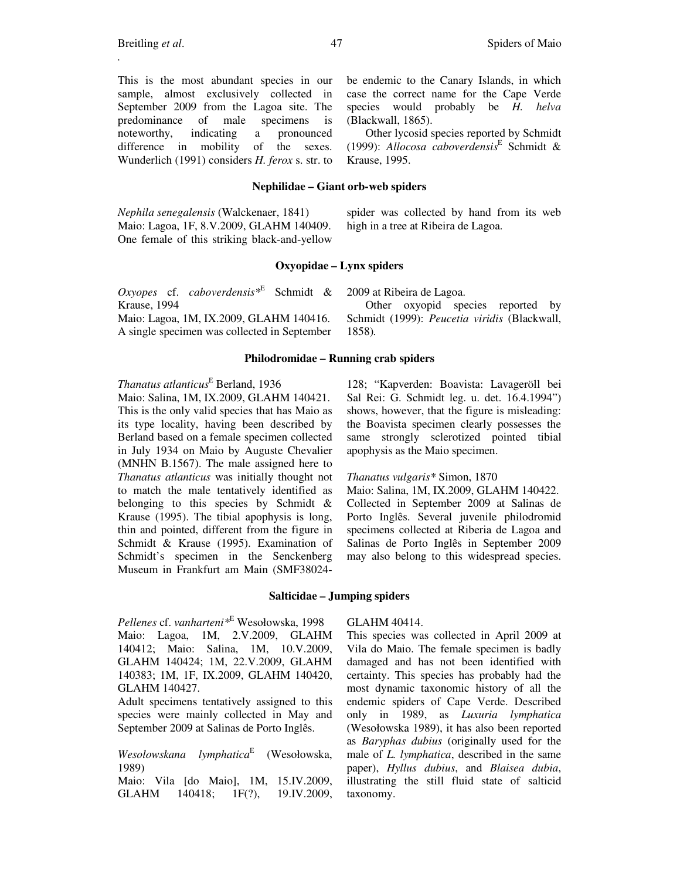**Nephilidae – Giant orb-web spiders** 

*Nephila senegalensis* (Walckenaer, 1841) Maio: Lagoa, 1F, 8.V.2009, GLAHM 140409. One female of this striking black-and-yellow spider was collected by hand from its web high in a tree at Ribeira de Lagoa.

be endemic to the Canary Islands, in which case the correct name for the Cape Verde species would probably be *H. helva* 

Other lycosid species reported by Schmidt (1999): *Allocosa caboverdensis*<sup>E</sup> Schmidt &

#### **Oxyopidae – Lynx spiders**

*Oxyopes* cf. *caboverdensis\**<sup>E</sup> Schmidt & Krause, 1994

Maio: Lagoa, 1M, IX.2009, GLAHM 140416. A single specimen was collected in September 2009 at Ribeira de Lagoa.

(Blackwall, 1865).

Krause, 1995.

Other oxyopid species reported by Schmidt (1999): *Peucetia viridis* (Blackwall, 1858)*.*

#### **Philodromidae – Running crab spiders**

# *Thanatus atlanticus*<sup>E</sup> Berland, 1936

Maio: Salina, 1M, IX.2009, GLAHM 140421. This is the only valid species that has Maio as its type locality, having been described by Berland based on a female specimen collected in July 1934 on Maio by Auguste Chevalier (MNHN B.1567). The male assigned here to *Thanatus atlanticus* was initially thought not to match the male tentatively identified as belonging to this species by Schmidt & Krause (1995). The tibial apophysis is long, thin and pointed, different from the figure in Schmidt & Krause (1995). Examination of Schmidt's specimen in the Senckenberg Museum in Frankfurt am Main (SMF38024128; "Kapverden: Boavista: Lavageröll bei Sal Rei: G. Schmidt leg. u. det. 16.4.1994") shows, however, that the figure is misleading: the Boavista specimen clearly possesses the same strongly sclerotized pointed tibial apophysis as the Maio specimen.

## *Thanatus vulgaris\** Simon, 1870

Maio: Salina, 1M, IX.2009, GLAHM 140422. Collected in September 2009 at Salinas de Porto Inglês. Several juvenile philodromid specimens collected at Riberia de Lagoa and Salinas de Porto Inglês in September 2009 may also belong to this widespread species.

# **Salticidae – Jumping spiders**

*Pellenes* cf. *vanharteni\**<sup>E</sup> Wesołowska, 1998 Maio: Lagoa, 1M, 2.V.2009, GLAHM 140412; Maio: Salina, 1M, 10.V.2009, GLAHM 140424; 1M, 22.V.2009, GLAHM 140383; 1M, 1F, IX.2009, GLAHM 140420, GLAHM 140427.

Adult specimens tentatively assigned to this species were mainly collected in May and September 2009 at Salinas de Porto Inglês.

*Wesolowskana lymphatica*<sup>E</sup> (Wesołowska, 1989)

Maio: Vila [do Maio], 1M, 15.IV.2009, GLAHM 140418; 1F(?), 19.IV.2009,

#### GLAHM 40414.

This species was collected in April 2009 at Vila do Maio. The female specimen is badly damaged and has not been identified with certainty. This species has probably had the most dynamic taxonomic history of all the endemic spiders of Cape Verde. Described only in 1989, as *Luxuria lymphatica*  (Wesołowska 1989), it has also been reported as *Baryphas dubius* (originally used for the male of *L. lymphatica*, described in the same paper), *Hyllus dubius*, and *Blaisea dubia*, illustrating the still fluid state of salticid taxonomy.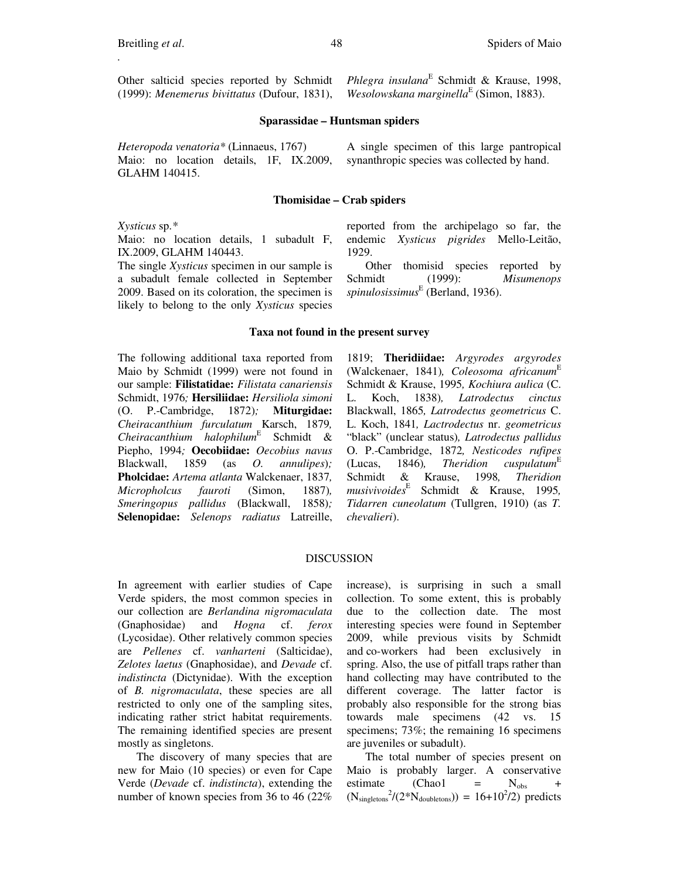*Wesolowskana marginella*<sup>E</sup> (Simon, 1883).

# **Sparassidae – Huntsman spiders**

*Heteropoda venatoria\** (Linnaeus, 1767) Maio: no location details, 1F, IX.2009, GLAHM 140415.

### **Thomisidae – Crab spiders**

*Xysticus* sp.*\**

Maio: no location details, 1 subadult F, IX.2009, GLAHM 140443.

The single *Xysticus* specimen in our sample is a subadult female collected in September 2009. Based on its coloration, the specimen is likely to belong to the only *Xysticus* species reported from the archipelago so far, the endemic *Xysticus pigrides* Mello-Leitão, 1929.

*Phlegra insulana*<sup>E</sup> Schmidt & Krause, 1998,

Other thomisid species reported by Schmidt (1999): *Misumenops spinulosissimus*<sup>E</sup> (Berland, 1936).

#### **Taxa not found in the present survey**

The following additional taxa reported from Maio by Schmidt (1999) were not found in our sample: **Filistatidae:** *Filistata canariensis* Schmidt, 1976*;* **Hersiliidae:** *Hersiliola simoni* (O. P.-Cambridge, 1872)*;* **Miturgidae:** *Cheiracanthium furculatum* Karsch, 1879*, Cheiracanthium halophilum*<sup>E</sup> Schmidt & Piepho, 1994*;* **Oecobiidae:** *Oecobius navus*  Blackwall, 1859 (as *O. annulipes*)*;*  **Pholcidae:** *Artema atlanta* Walckenaer, 1837*, Micropholcus fauroti* (Simon, 1887)*, Smeringopus pallidus* (Blackwall, 1858)*;*  **Selenopidae:** *Selenops radiatus* Latreille,

1819; **Theridiidae:** *Argyrodes argyrodes* (Walckenaer, 1841)*, Coleosoma africanum*<sup>E</sup> Schmidt & Krause, 1995*, Kochiura aulica* (C. L. Koch, 1838)*, Latrodectus cinctus* Blackwall, 1865*, Latrodectus geometricus* C. L. Koch, 1841*, Lactrodectus* nr. *geometricus*  "black" (unclear status)*, Latrodectus pallidus* O. P.-Cambridge, 1872*, Nesticodes rufipes*  $(Lucas, 1846)$ , Theridion cuspulatum<sup>E</sup> Schmidt & Krause, 1998*, Theridion musivivoides*<sup>E</sup> Schmidt & Krause, 1995*, Tidarren cuneolatum* (Tullgren, 1910) (as *T. chevalieri*).

#### DISCUSSION

In agreement with earlier studies of Cape Verde spiders, the most common species in our collection are *Berlandina nigromaculata*  (Gnaphosidae) and *Hogna* cf. *ferox*  (Lycosidae). Other relatively common species are *Pellenes* cf. *vanharteni* (Salticidae), *Zelotes laetus* (Gnaphosidae), and *Devade* cf. *indistincta* (Dictynidae). With the exception of *B. nigromaculata*, these species are all restricted to only one of the sampling sites, indicating rather strict habitat requirements. The remaining identified species are present mostly as singletons.

The discovery of many species that are new for Maio (10 species) or even for Cape Verde (*Devade* cf. *indistincta*), extending the number of known species from 36 to 46 (22% increase), is surprising in such a small collection. To some extent, this is probably due to the collection date. The most interesting species were found in September 2009, while previous visits by Schmidt and co-workers had been exclusively in spring. Also, the use of pitfall traps rather than hand collecting may have contributed to the different coverage. The latter factor is probably also responsible for the strong bias towards male specimens (42 vs. 15 specimens; 73%; the remaining 16 specimens are juveniles or subadult).

The total number of species present on Maio is probably larger. A conservative estimate (Chao1 =  $N_{\text{obs}}$  $(N_{\text{singletons}}^2/(2*N_{\text{doubletons}})) = 16+10^2/2$  predicts

A single specimen of this large pantropical synanthropic species was collected by hand.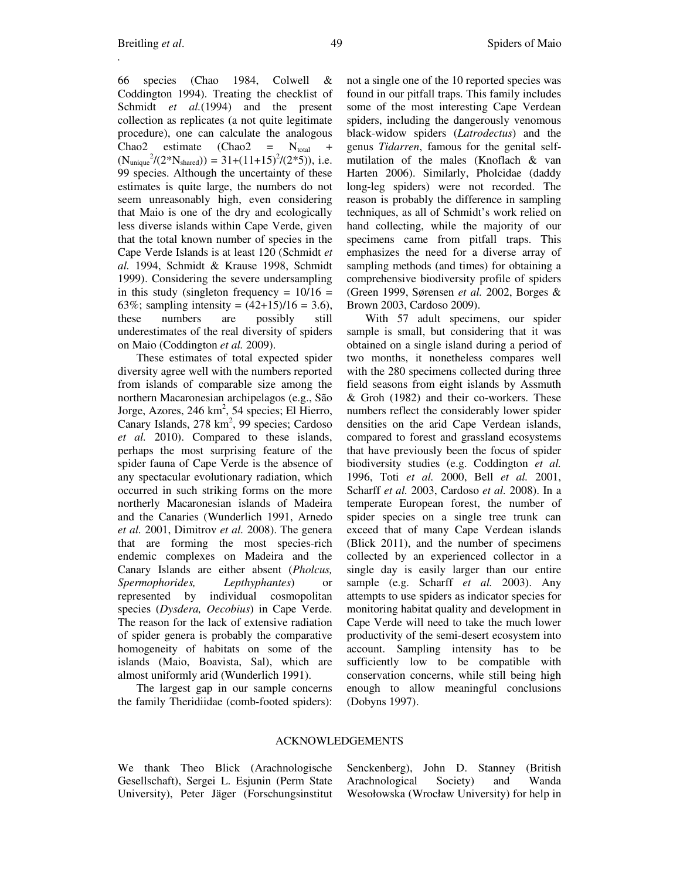66 species (Chao 1984, Colwell & Coddington 1994). Treating the checklist of Schmidt *et al.*(1994) and the present collection as replicates (a not quite legitimate procedure), one can calculate the analogous Chao2 estimate (Chao2 =  $N_{total}$  +  $(N_{\text{unique}}^2/(2*N_{\text{shared}})) = 31+(11+15)^2/(2*5)),$  i.e. 99 species. Although the uncertainty of these estimates is quite large, the numbers do not seem unreasonably high, even considering that Maio is one of the dry and ecologically less diverse islands within Cape Verde, given that the total known number of species in the Cape Verde Islands is at least 120 (Schmidt *et al.* 1994, Schmidt & Krause 1998, Schmidt 1999). Considering the severe undersampling in this study (singleton frequency =  $10/16$  = 63%; sampling intensity =  $(42+15)/16 = 3.6$ , these numbers are possibly still underestimates of the real diversity of spiders on Maio (Coddington *et al.* 2009).

These estimates of total expected spider diversity agree well with the numbers reported from islands of comparable size among the northern Macaronesian archipelagos (e.g., São Jorge, Azores, 246 km<sup>2</sup>, 54 species; El Hierro, Canary Islands, 278 km<sup>2</sup>, 99 species; Cardoso *et al.* 2010). Compared to these islands, perhaps the most surprising feature of the spider fauna of Cape Verde is the absence of any spectacular evolutionary radiation, which occurred in such striking forms on the more northerly Macaronesian islands of Madeira and the Canaries (Wunderlich 1991, Arnedo *et al.* 2001, Dimitrov *et al.* 2008). The genera that are forming the most species-rich endemic complexes on Madeira and the Canary Islands are either absent (*Pholcus, Spermophorides, Lepthyphantes*) or represented by individual cosmopolitan species (*Dysdera, Oecobius*) in Cape Verde. The reason for the lack of extensive radiation of spider genera is probably the comparative homogeneity of habitats on some of the islands (Maio, Boavista, Sal), which are almost uniformly arid (Wunderlich 1991).

The largest gap in our sample concerns the family Theridiidae (comb-footed spiders): not a single one of the 10 reported species was found in our pitfall traps. This family includes some of the most interesting Cape Verdean spiders, including the dangerously venomous black-widow spiders (*Latrodectus*) and the genus *Tidarren*, famous for the genital selfmutilation of the males (Knoflach & van Harten 2006). Similarly, Pholcidae (daddy long-leg spiders) were not recorded. The reason is probably the difference in sampling techniques, as all of Schmidt's work relied on hand collecting, while the majority of our specimens came from pitfall traps. This emphasizes the need for a diverse array of sampling methods (and times) for obtaining a comprehensive biodiversity profile of spiders (Green 1999, Sørensen *et al.* 2002, Borges & Brown 2003, Cardoso 2009).

With 57 adult specimens, our spider sample is small, but considering that it was obtained on a single island during a period of two months, it nonetheless compares well with the 280 specimens collected during three field seasons from eight islands by Assmuth & Groh (1982) and their co-workers. These numbers reflect the considerably lower spider densities on the arid Cape Verdean islands, compared to forest and grassland ecosystems that have previously been the focus of spider biodiversity studies (e.g. Coddington *et al.* 1996, Toti *et al.* 2000, Bell *et al.* 2001, Scharff *et al.* 2003, Cardoso *et al.* 2008). In a temperate European forest, the number of spider species on a single tree trunk can exceed that of many Cape Verdean islands (Blick 2011), and the number of specimens collected by an experienced collector in a single day is easily larger than our entire sample (e.g. Scharff *et al.* 2003). Any attempts to use spiders as indicator species for monitoring habitat quality and development in Cape Verde will need to take the much lower productivity of the semi-desert ecosystem into account. Sampling intensity has to be sufficiently low to be compatible with conservation concerns, while still being high enough to allow meaningful conclusions (Dobyns 1997).

#### ACKNOWLEDGEMENTS

We thank Theo Blick (Arachnologische Gesellschaft), Sergei L. Esjunin (Perm State University), Peter Jäger (Forschungsinstitut Senckenberg), John D. Stanney (British Arachnological Society) and Wanda Wesołowska (Wrocław University) for help in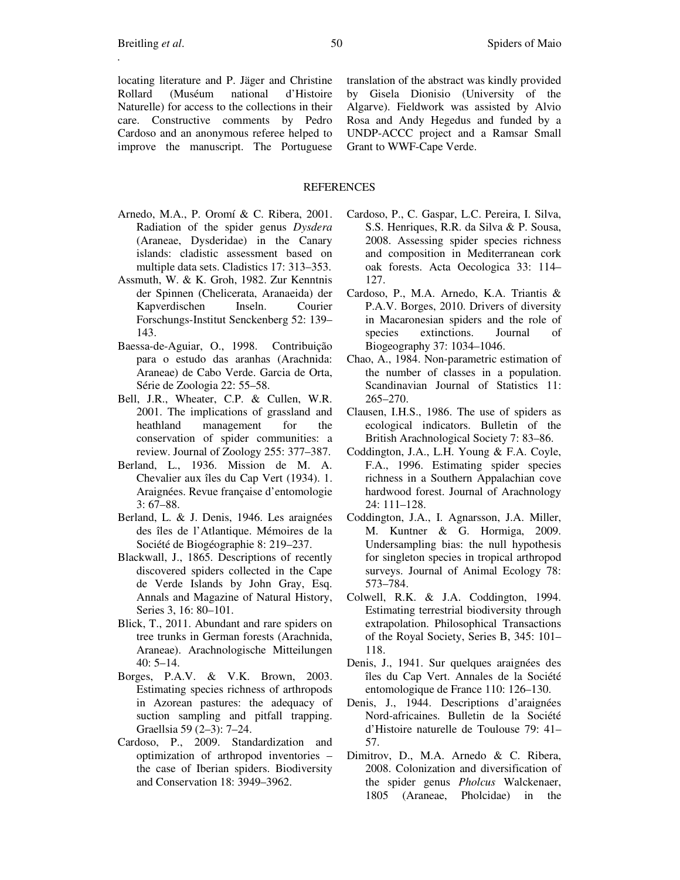locating literature and P. Jäger and Christine Rollard (Muséum national d'Histoire Naturelle) for access to the collections in their care. Constructive comments by Pedro Cardoso and an anonymous referee helped to improve the manuscript. The Portuguese translation of the abstract was kindly provided by Gisela Dionisio (University of the Algarve). Fieldwork was assisted by Alvio Rosa and Andy Hegedus and funded by a UNDP-ACCC project and a Ramsar Small Grant to WWF-Cape Verde.

## REFERENCES

- Arnedo, M.A., P. Oromí & C. Ribera, 2001. Radiation of the spider genus *Dysdera*  (Araneae, Dysderidae) in the Canary islands: cladistic assessment based on multiple data sets. Cladistics 17: 313–353.
- Assmuth, W. & K. Groh, 1982. Zur Kenntnis der Spinnen (Chelicerata, Aranaeida) der Kapverdischen Inseln. Courier Forschungs-Institut Senckenberg 52: 139– 143.
- Baessa-de-Aguiar, O., 1998. Contribuição para o estudo das aranhas (Arachnida: Araneae) de Cabo Verde. Garcia de Orta, Série de Zoologia 22: 55–58.
- Bell, J.R., Wheater, C.P. & Cullen, W.R. 2001. The implications of grassland and heathland management for the conservation of spider communities: a review. Journal of Zoology 255: 377–387.
- Berland, L., 1936. Mission de M. A. Chevalier aux îles du Cap Vert (1934). 1. Araignées. Revue française d'entomologie 3: 67–88.
- Berland, L. & J. Denis, 1946. Les araignées des îles de l'Atlantique. Mémoires de la Société de Biogéographie 8: 219–237.
- Blackwall, J., 1865. Descriptions of recently discovered spiders collected in the Cape de Verde Islands by John Gray, Esq. Annals and Magazine of Natural History, Series 3, 16: 80–101.
- Blick, T., 2011. Abundant and rare spiders on tree trunks in German forests (Arachnida, Araneae). Arachnologische Mitteilungen 40: 5–14.
- Borges, P.A.V. & V.K. Brown, 2003. Estimating species richness of arthropods in Azorean pastures: the adequacy of suction sampling and pitfall trapping. Graellsia 59 (2–3): 7–24.
- Cardoso, P., 2009. Standardization and optimization of arthropod inventories – the case of Iberian spiders. Biodiversity and Conservation 18: 3949–3962.
- Cardoso, P., C. Gaspar, L.C. Pereira, I. Silva, S.S. Henriques, R.R. da Silva & P. Sousa, 2008. Assessing spider species richness and composition in Mediterranean cork oak forests. Acta Oecologica 33: 114– 127
- Cardoso, P., M.A. Arnedo, K.A. Triantis & P.A.V. Borges, 2010. Drivers of diversity in Macaronesian spiders and the role of species extinctions. Journal of Biogeography 37: 1034–1046.
- Chao, A., 1984. Non-parametric estimation of the number of classes in a population. Scandinavian Journal of Statistics 11: 265–270.
- Clausen, I.H.S., 1986. The use of spiders as ecological indicators. Bulletin of the British Arachnological Society 7: 83–86.
- Coddington, J.A., L.H. Young & F.A. Coyle, F.A., 1996. Estimating spider species richness in a Southern Appalachian cove hardwood forest. Journal of Arachnology 24: 111–128.
- Coddington, J.A., I. Agnarsson, J.A. Miller, M. Kuntner & G. Hormiga, 2009. Undersampling bias: the null hypothesis for singleton species in tropical arthropod surveys. Journal of Animal Ecology 78: 573–784.
- Colwell, R.K. & J.A. Coddington, 1994. Estimating terrestrial biodiversity through extrapolation. Philosophical Transactions of the Royal Society, Series B, 345: 101– 118.
- Denis, J., 1941. Sur quelques araignées des îles du Cap Vert. Annales de la Société entomologique de France 110: 126–130.
- Denis, J., 1944. Descriptions d'araignées Nord-africaines. Bulletin de la Société d'Histoire naturelle de Toulouse 79: 41– 57.
- Dimitrov, D., M.A. Arnedo & C. Ribera, 2008. Colonization and diversification of the spider genus *Pholcus* Walckenaer, 1805 (Araneae, Pholcidae) in the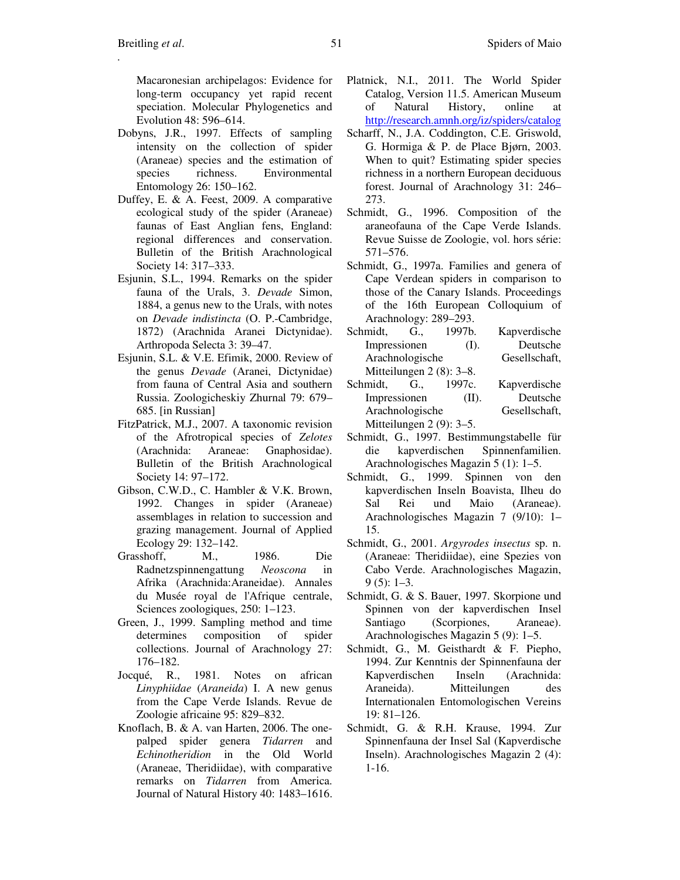Macaronesian archipelagos: Evidence for long-term occupancy yet rapid recent speciation. Molecular Phylogenetics and Evolution 48: 596–614.

- Dobyns, J.R., 1997. Effects of sampling intensity on the collection of spider (Araneae) species and the estimation of species richness. Environmental Entomology 26: 150–162.
- Duffey, E. & A. Feest, 2009. A comparative ecological study of the spider (Araneae) faunas of East Anglian fens, England: regional differences and conservation. Bulletin of the British Arachnological Society 14: 317–333.
- Esjunin, S.L., 1994. Remarks on the spider fauna of the Urals, 3. *Devade* Simon, 1884, a genus new to the Urals, with notes on *Devade indistincta* (O. P.-Cambridge, 1872) (Arachnida Aranei Dictynidae). Arthropoda Selecta 3: 39–47.
- Esjunin, S.L. & V.E. Efimik, 2000. Review of the genus *Devade* (Aranei, Dictynidae) from fauna of Central Asia and southern Russia. Zoologicheskiy Zhurnal 79: 679– 685. [in Russian]
- FitzPatrick, M.J., 2007. A taxonomic revision of the Afrotropical species of *Zelotes* (Arachnida: Araneae: Gnaphosidae). Bulletin of the British Arachnological Society 14: 97–172.
- Gibson, C.W.D., C. Hambler & V.K. Brown, 1992. Changes in spider (Araneae) assemblages in relation to succession and grazing management. Journal of Applied Ecology 29: 132–142.
- Grasshoff, M., 1986. Die Radnetzspinnengattung *Neoscona* in Afrika (Arachnida:Araneidae). Annales du Musée royal de l'Afrique centrale, Sciences zoologiques, 250: 1–123.
- Green, J., 1999. Sampling method and time determines composition of spider collections. Journal of Arachnology 27: 176–182.
- Jocqué, R., 1981. Notes on african *Linyphiidae* (*Araneida*) I. A new genus from the Cape Verde Islands. Revue de Zoologie africaine 95: 829–832.
- Knoflach, B. & A. van Harten, 2006. The onepalped spider genera *Tidarren* and *Echinotheridion* in the Old World (Araneae, Theridiidae), with comparative remarks on *Tidarren* from America. Journal of Natural History 40: 1483–1616.
- Platnick, N.I., 2011. The World Spider Catalog, Version 11.5. American Museum of Natural History, online at http://research.amnh.org/iz/spiders/catalog
- Scharff, N., J.A. Coddington, C.E. Griswold, G. Hormiga & P. de Place Bjørn, 2003. When to quit? Estimating spider species richness in a northern European deciduous forest. Journal of Arachnology 31: 246– 273.
- Schmidt, G., 1996. Composition of the araneofauna of the Cape Verde Islands. Revue Suisse de Zoologie, vol. hors série: 571–576.
- Schmidt, G., 1997a. Families and genera of Cape Verdean spiders in comparison to those of the Canary Islands. Proceedings of the 16th European Colloquium of Arachnology: 289–293.
- Schmidt, G., 1997b. Kapverdische Impressionen (I). Deutsche Arachnologische Gesellschaft, Mitteilungen 2 (8): 3–8.
- Schmidt, G., 1997c. Kapverdische Impressionen (II). Deutsche Arachnologische Gesellschaft, Mitteilungen 2 (9): 3–5.
- Schmidt, G., 1997. Bestimmungstabelle für die kapverdischen Spinnenfamilien. Arachnologisches Magazin 5 (1): 1–5.
- Schmidt, G., 1999. Spinnen von den kapverdischen Inseln Boavista, Ilheu do Sal Rei und Maio (Araneae). Arachnologisches Magazin 7 (9/10): 1– 15.
- Schmidt, G., 2001. *Argyrodes insectus* sp. n. (Araneae: Theridiidae), eine Spezies von Cabo Verde. Arachnologisches Magazin,  $9(5): 1-3.$
- Schmidt, G. & S. Bauer, 1997. Skorpione und Spinnen von der kapverdischen Insel Santiago (Scorpiones, Araneae). Arachnologisches Magazin 5 (9): 1–5.
- Schmidt, G., M. Geisthardt & F. Piepho, 1994. Zur Kenntnis der Spinnenfauna der Kapverdischen Inseln (Arachnida: Araneida). Mitteilungen des Internationalen Entomologischen Vereins 19: 81–126.
- Schmidt, G. & R.H. Krause, 1994. Zur Spinnenfauna der Insel Sal (Kapverdische Inseln). Arachnologisches Magazin 2 (4): 1-16.